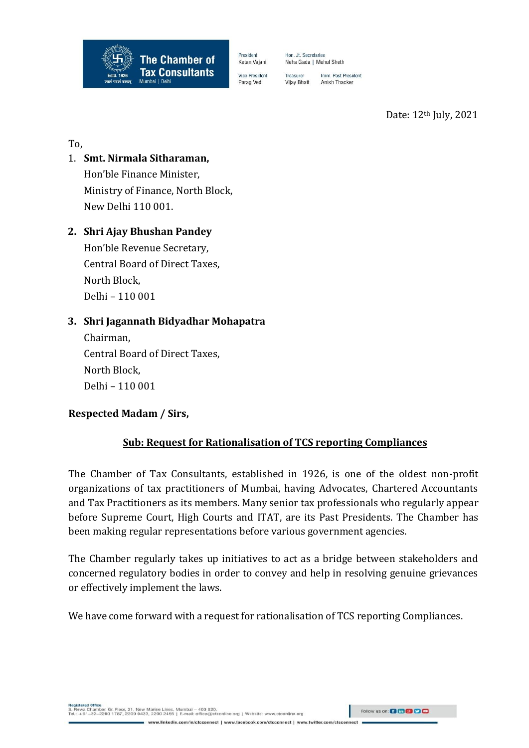

Hon. Jt. Secretaries Neha Gada | Mehul Sheth

President

Ketan Vajani

**Vice President** 

Parag Ved

Imm. Past President Treasurer Vijay Bhatt Anish Thacker

Date: 12th July, 2021

To,

1. **Smt. Nirmala Sitharaman,**  Hon'ble Finance Minister, Ministry of Finance, North Block, New Delhi 110 001.

## **2. Shri Ajay Bhushan Pandey**

Hon'ble Revenue Secretary, Central Board of Direct Taxes, North Block, Delhi – 110 001

## **3. Shri Jagannath Bidyadhar Mohapatra**

Chairman, Central Board of Direct Taxes, North Block, Delhi – 110 001

**Respected Madam / Sirs,**

# **Sub: Request for Rationalisation of TCS reporting Compliances**

The Chamber of Tax Consultants, established in 1926, is one of the oldest non-profit organizations of tax practitioners of Mumbai, having Advocates, Chartered Accountants and Tax Practitioners as its members. Many senior tax professionals who regularly appear before Supreme Court, High Courts and ITAT, are its Past Presidents. The Chamber has been making regular representations before various government agencies.

The Chamber regularly takes up initiatives to act as a bridge between stakeholders and concerned regulatory bodies in order to convey and help in resolving genuine grievances or effectively implement the laws.

We have come forward with a request for rationalisation of TCS reporting Compliances.

Follow us on: **Q to 8 9 9 8**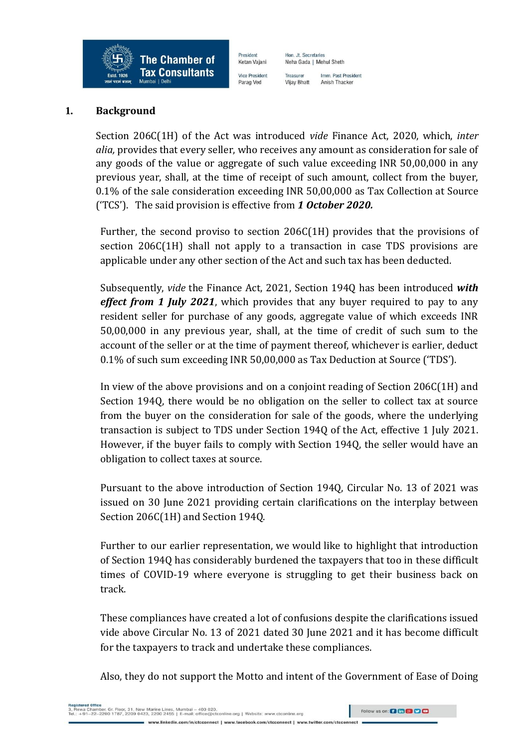

President Hon. Jt. Secretaries Ketan Vajani Neha Gada | Mehul Sheth **Vice President** Parag Ved

Imm. Past President Treasurer Vijay Bhatt Anish Thacker

#### **1. Background**

Section 206C(1H) of the Act was introduced *vide* Finance Act, 2020, which, *inter alia,* provides that every seller, who receives any amount as consideration for sale of any goods of the value or aggregate of such value exceeding INR 50,00,000 in any previous year, shall, at the time of receipt of such amount, collect from the buyer, 0.1% of the sale consideration exceeding INR 50,00,000 as Tax Collection at Source ('TCS'). The said provision is effective from *1 October 2020.*

Further, the second proviso to section 206C(1H) provides that the provisions of section 206C(1H) shall not apply to a transaction in case TDS provisions are applicable under any other section of the Act and such tax has been deducted.

Subsequently, *vide* the Finance Act, 2021, Section 194Q has been introduced *with effect from 1 July 2021*, which provides that any buyer required to pay to any resident seller for purchase of any goods, aggregate value of which exceeds INR 50,00,000 in any previous year, shall, at the time of credit of such sum to the account of the seller or at the time of payment thereof, whichever is earlier, deduct 0.1% of such sum exceeding INR 50,00,000 as Tax Deduction at Source ('TDS').

In view of the above provisions and on a conjoint reading of Section 206C(1H) and Section 194Q, there would be no obligation on the seller to collect tax at source from the buyer on the consideration for sale of the goods, where the underlying transaction is subject to TDS under Section 194Q of the Act, effective 1 July 2021. However, if the buyer fails to comply with Section 194Q, the seller would have an obligation to collect taxes at source.

Pursuant to the above introduction of Section 194Q, Circular No. 13 of 2021 was issued on 30 June 2021 providing certain clarifications on the interplay between Section 206C(1H) and Section 194Q.

Further to our earlier representation, we would like to highlight that introduction of Section 194Q has considerably burdened the taxpayers that too in these difficult times of COVID-19 where everyone is struggling to get their business back on track.

These compliances have created a lot of confusions despite the clarifications issued vide above Circular No. 13 of 2021 dated 30 June 2021 and it has become difficult for the taxpayers to track and undertake these compliances.

Also, they do not support the Motto and intent of the Government of Ease of Doing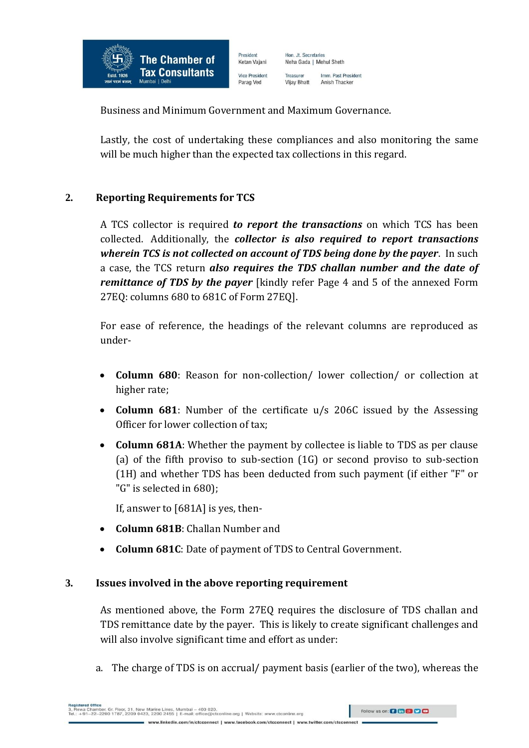

Hon. Jt. Secretaries Neha Gada | Mehul Sheth Imm. Past President Treasurer Vijay Bhatt Anish Thacker

Business and Minimum Government and Maximum Governance.

President

Ketan Vajani

**Vice President** 

Parag Ved

Lastly, the cost of undertaking these compliances and also monitoring the same will be much higher than the expected tax collections in this regard.

#### **2. Reporting Requirements for TCS**

A TCS collector is required *to report the transactions* on which TCS has been collected. Additionally, the *collector is also required to report transactions wherein TCS is not collected on account of TDS being done by the payer*. In such a case, the TCS return *also requires the TDS challan number and the date of remittance of TDS by the payer* [kindly refer Page 4 and 5 of the annexed Form 27EQ: columns 680 to 681C of Form 27EQ].

For ease of reference, the headings of the relevant columns are reproduced as under-

- **Column 680**: Reason for non-collection/ lower collection/ or collection at higher rate;
- **Column 681**: Number of the certificate u/s 206C issued by the Assessing Officer for lower collection of tax;
- **Column 681A**: Whether the payment by collectee is liable to TDS as per clause (a) of the fifth proviso to sub-section (1G) or second proviso to sub-section (1H) and whether TDS has been deducted from such payment (if either "F" or "G" is selected in 680);

If, answer to [681A] is yes, then-

- **Column 681B**: Challan Number and
- **Column 681C**: Date of payment of TDS to Central Government.

#### **3. Issues involved in the above reporting requirement**

As mentioned above, the Form 27EQ requires the disclosure of TDS challan and TDS remittance date by the payer. This is likely to create significant challenges and will also involve significant time and effort as under:

a. The charge of TDS is on accrual/ payment basis (earlier of the two), whereas the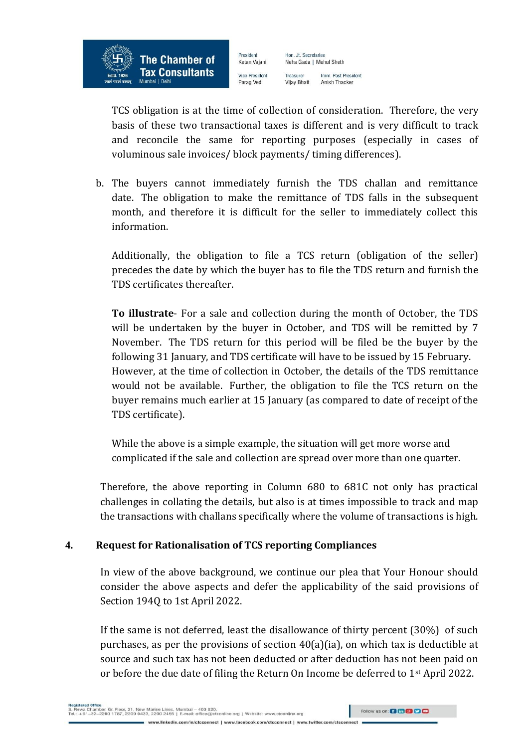

Hon. Jt. Secretaries Ketan Vajani Neha Gada | Mehul Sheth **Vice President** Treasurer Parag Ved Vijay Bhatt

President

TCS obligation is at the time of collection of consideration. Therefore, the very basis of these two transactional taxes is different and is very difficult to track and reconcile the same for reporting purposes (especially in cases of voluminous sale invoices/ block payments/ timing differences).

Imm. Past President

Anish Thacker

b. The buyers cannot immediately furnish the TDS challan and remittance date. The obligation to make the remittance of TDS falls in the subsequent month, and therefore it is difficult for the seller to immediately collect this information.

Additionally, the obligation to file a TCS return (obligation of the seller) precedes the date by which the buyer has to file the TDS return and furnish the TDS certificates thereafter.

**To illustrate**- For a sale and collection during the month of October, the TDS will be undertaken by the buyer in October, and TDS will be remitted by 7 November. The TDS return for this period will be filed be the buyer by the following 31 January, and TDS certificate will have to be issued by 15 February. However, at the time of collection in October, the details of the TDS remittance would not be available. Further, the obligation to file the TCS return on the buyer remains much earlier at 15 January (as compared to date of receipt of the TDS certificate).

While the above is a simple example, the situation will get more worse and complicated if the sale and collection are spread over more than one quarter.

Therefore, the above reporting in Column 680 to 681C not only has practical challenges in collating the details, but also is at times impossible to track and map the transactions with challans specifically where the volume of transactions is high.

### **4. Request for Rationalisation of TCS reporting Compliances**

In view of the above background, we continue our plea that Your Honour should consider the above aspects and defer the applicability of the said provisions of Section 194Q to 1st April 2022.

If the same is not deferred, least the disallowance of thirty percent (30%) of such purchases, as per the provisions of section 40(a)(ia), on which tax is deductible at source and such tax has not been deducted or after deduction has not been paid on or before the due date of filing the Return On Income be deferred to 1<sup>st</sup> April 2022.